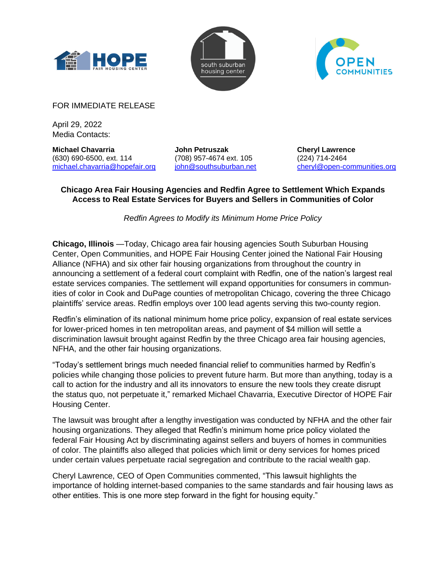





FOR IMMEDIATE RELEASE

April 29, 2022 Media Contacts:

**Michael Chavarria** (630) 690-6500, ext. 114 michael.chavarria@hopefair.org

**John Petruszak** (708) 957-4674 ext. 105 john@southsuburban.net **Cheryl Lawrence** (224) 714-2464 cheryl@open-communities.org

## **Chicago Area Fair Housing Agencies and Redfin Agree to Settlement Which Expands Access to Real Estate Services for Buyers and Sellers in Communities of Color**

*Redfin Agrees to Modify its Minimum Home Price Policy*

**Chicago, Illinois** —Today, Chicago area fair housing agencies South Suburban Housing Center, Open Communities, and HOPE Fair Housing Center joined the National Fair Housing Alliance (NFHA) and six other fair housing organizations from throughout the country in announcing a settlement of a federal court complaint with Redfin, one of the nation's largest real estate services companies. The settlement will expand opportunities for consumers in communities of color in Cook and DuPage counties of metropolitan Chicago, covering the three Chicago plaintiffs' service areas. Redfin employs over 100 lead agents serving this two-county region.

Redfin's elimination of its national minimum home price policy, expansion of real estate services for lower-priced homes in ten metropolitan areas, and payment of \$4 million will settle a discrimination lawsuit brought against Redfin by the three Chicago area fair housing agencies, NFHA, and the other fair housing organizations.

"Today's settlement brings much needed financial relief to communities harmed by Redfin's policies while changing those policies to prevent future harm. But more than anything, today is a call to action for the industry and all its innovators to ensure the new tools they create disrupt the status quo, not perpetuate it," remarked Michael Chavarria, Executive Director of HOPE Fair Housing Center.

The lawsuit was brought after a lengthy investigation was conducted by NFHA and the other fair housing organizations. They alleged that Redfin's minimum home price policy violated the federal Fair Housing Act by discriminating against sellers and buyers of homes in communities of color. The plaintiffs also alleged that policies which limit or deny services for homes priced under certain values perpetuate racial segregation and contribute to the racial wealth gap.

Cheryl Lawrence, CEO of Open Communities commented, "This lawsuit highlights the importance of holding internet-based companies to the same standards and fair housing laws as other entities. This is one more step forward in the fight for housing equity."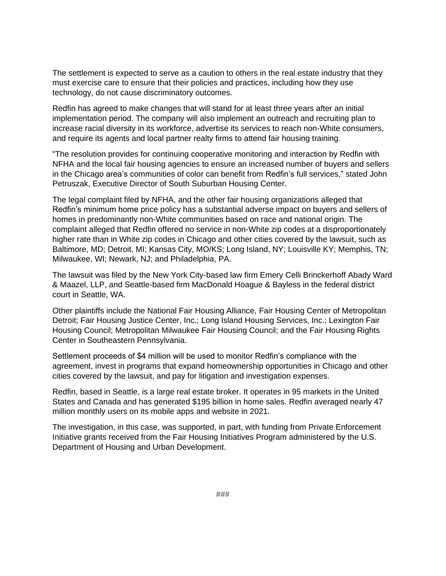The settlement is expected to serve as a caution to others in the real estate industry that they must exercise care to ensure that their policies and practices, including how they use technology, do not cause discriminatory outcomes.

Redfin has agreed to make changes that will stand for at least three years after an initial implementation period. The company will also implement an outreach and recruiting plan to increase racial diversity in its workforce, advertise its services to reach non-White consumers, and require its agents and local partner realty firms to attend fair housing training.

"The resolution provides for continuing cooperative monitoring and interaction by Redfin with NFHA and the local fair housing agencies to ensure an increased number of buyers and sellers in the Chicago area's communities of color can benefit from Redfin's full services," stated John Petruszak, Executive Director of South Suburban Housing Center.

The legal complaint filed by NFHA, and the other fair housing organizations alleged that Redfin's minimum home price policy has a substantial adverse impact on buyers and sellers of homes in predominantly non-White communities based on race and national origin. The complaint alleged that Redfin offered no service in non-White zip codes at a disproportionately higher rate than in White zip codes in Chicago and other cities covered by the lawsuit, such as Baltimore, MD; Detroit, MI; Kansas City, MO/KS; Long Island, NY; Louisville KY; Memphis, TN; Milwaukee, WI; Newark, NJ; and Philadelphia, PA.

The lawsuit was filed by the New York City-based law firm Emery Celli Brinckerhoff Abady Ward & Maazel, LLP, and Seattle-based firm MacDonald Hoague & Bayless in the federal district court in Seattle, WA.

Other plaintiffs include the National Fair Housing Alliance, Fair Housing Center of Metropolitan Detroit; Fair Housing Justice Center, Inc.; Long Island Housing Services, Inc.; Lexington Fair Housing Council; Metropolitan Milwaukee Fair Housing Council; and the Fair Housing Rights Center in Southeastern Pennsylvania.

Settlement proceeds of \$4 million will be used to monitor Redfin's compliance with the agreement, invest in programs that expand homeownership opportunities in Chicago and other cities covered by the lawsuit, and pay for litigation and investigation expenses.

Redfin, based in Seattle, is a large real estate broker. It operates in 95 markets in the United States and Canada and has generated \$195 billion in home sales. Redfin averaged nearly 47 million monthly users on its mobile apps and website in 2021.

The investigation, in this case, was supported, in part, with funding from Private Enforcement Initiative grants received from the Fair Housing Initiatives Program administered by the U.S. Department of Housing and Urban Development.